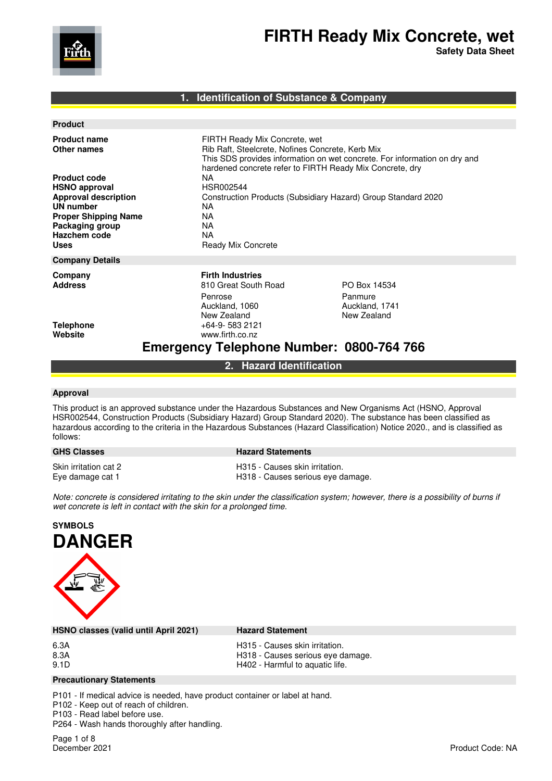

**Safety Data Sheet**

## **1. Identification of Substance & Company**

| <b>Product name</b><br>Other names<br><b>Product code</b><br><b>HSNO approval</b><br><b>Approval description</b><br><b>UN number</b><br><b>Proper Shipping Name</b><br>Packaging group | FIRTH Ready Mix Concrete, wet<br>Rib Raft, Steelcrete, Nofines Concrete, Kerb Mix<br>This SDS provides information on wet concrete. For information on dry and<br>hardened concrete refer to FIRTH Ready Mix Concrete, dry<br>NA.<br>HSR002544<br>Construction Products (Subsidiary Hazard) Group Standard 2020<br>NA.<br><b>NA</b><br>NA. |                                                          |
|----------------------------------------------------------------------------------------------------------------------------------------------------------------------------------------|--------------------------------------------------------------------------------------------------------------------------------------------------------------------------------------------------------------------------------------------------------------------------------------------------------------------------------------------|----------------------------------------------------------|
| Hazchem code<br><b>Uses</b>                                                                                                                                                            | <b>NA</b><br><b>Ready Mix Concrete</b>                                                                                                                                                                                                                                                                                                     |                                                          |
| <b>Company Details</b>                                                                                                                                                                 |                                                                                                                                                                                                                                                                                                                                            |                                                          |
| Company<br><b>Address</b>                                                                                                                                                              | <b>Firth Industries</b><br>810 Great South Road<br>Penrose<br>Auckland, 1060<br>New Zealand                                                                                                                                                                                                                                                | PO Box 14534<br>Panmure<br>Auckland, 1741<br>New Zealand |
| <b>Telephone</b><br>Website                                                                                                                                                            | $+64-9-5832121$<br>www.firth.co.nz<br><b>Emergency Telephone Number: 0800-764 766</b>                                                                                                                                                                                                                                                      |                                                          |

**2. Hazard Identification** 

### **Approval**

This product is an approved substance under the Hazardous Substances and New Organisms Act (HSNO, Approval HSR002544, Construction Products (Subsidiary Hazard) Group Standard 2020). The substance has been classified as hazardous according to the criteria in the Hazardous Substances (Hazard Classification) Notice 2020., and is classified as follows:

# **GHS Classes Hazard Statements**

Skin irritation cat 2 **H315** - Causes skin irritation.

Eye damage cat 1 **H318** - Causes serious eye damage.

*Note: concrete is considered irritating to the skin under the classification system; however, there is a possibility of burns if wet concrete is left in contact with the skin for a prolonged time.* 



**HSNO classes (valid until April 2021) Hazard Statement** 

- 6.3A H315 Causes skin irritation.
- 8.3A H318 Causes serious eye damage.
	- H402 Harmful to aquatic life.

### **Precautionary Statements**

P101 - If medical advice is needed, have product container or label at hand.

P102 - Keep out of reach of children.

P103 - Read label before use. P264 - Wash hands thoroughly after handling.

Page 1 of 8<br>December 2021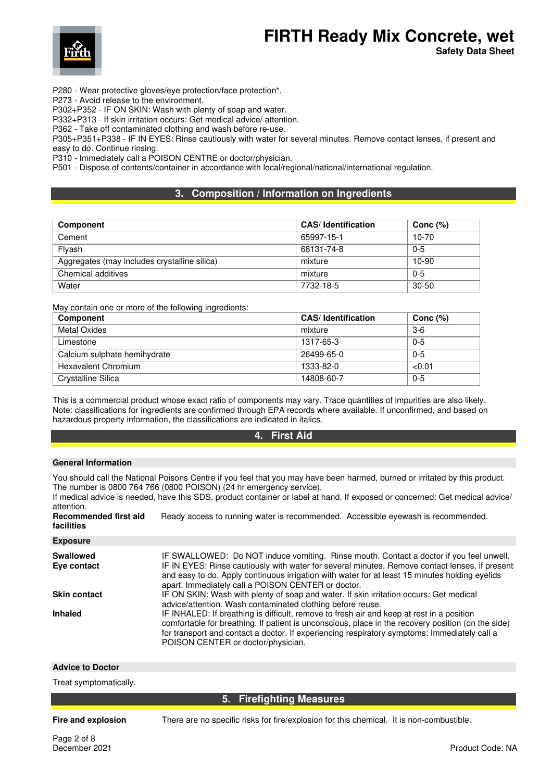

**Safety Data Sheet**

P280 - Wear protective gloves/eye protection/face protection\*.

P273 - Avoid release to the environment.

P302+P352 - IF ON SKIN: Wash with plenty of soap and water.

P332+P313 - If skin irritation occurs: Get medical advice/ attention.

P362 - Take off contaminated clothing and wash before re-use.

P305+P351+P338 - IF IN EYES: Rinse cautiously with water for several minutes. Remove contact lenses, if present and easy to do. Continue rinsing.

P310 - Immediately call a POISON CENTRE or doctor/physician.

P501 - Dispose of contents/container in accordance with local/regional/national/international regulation.

# **3. Composition / Information on Ingredients**

| <b>Component</b>                             | <b>CAS/Identification</b> | Conc $(%)$ |
|----------------------------------------------|---------------------------|------------|
| Cement                                       | 65997-15-1                | $10 - 70$  |
| Flvash                                       | 68131-74-8                | $0 - 5$    |
| Aggregates (may includes crystalline silica) | mixture                   | $10-90$    |
| Chemical additives                           | mixture                   | $0 - 5$    |
| Water                                        | 7732-18-5                 | $30 - 50$  |

May contain one or more of the following ingredients:

| Component                    | <b>CAS/Identification</b> | Conc $(%)$ |
|------------------------------|---------------------------|------------|
| <b>Metal Oxides</b>          | mixture                   | $3-6$      |
| Limestone                    | 1317-65-3                 | $0 - 5$    |
| Calcium sulphate hemihydrate | 26499-65-0                | $0 - 5$    |
| <b>Hexavalent Chromium</b>   | 1333-82-0                 | < 0.01     |
| Crystalline Silica           | 14808-60-7                | $0 - 5$    |

This is a commercial product whose exact ratio of components may vary. Trace quantities of impurities are also likely. Note: classifications for ingredients are confirmed through EPA records where available. If unconfirmed, and based on hazardous property information, the classifications are indicated in italics.

# **4. First Aid**

#### **General Information**

You should call the National Poisons Centre if you feel that you may have been harmed, burned or irritated by this product. The number is 0800 764 766 (0800 POISON) (24 hr emergency service).

If medical advice is needed, have this SDS, product container or label at hand. If exposed or concerned: Get medical advice/ attention. **Recommended first aid facilities** Ready access to running water is recommended. Accessible eyewash is recommended.

**Exposure** 

| <b>Swallowed</b><br>Eve contact | IF SWALLOWED: Do NOT induce vomiting. Rinse mouth. Contact a doctor if you feel unwell.<br>IF IN EYES: Rinse cautiously with water for several minutes. Remove contact lenses, if present<br>and easy to do. Apply continuous irrigation with water for at least 15 minutes holding eyelids<br>apart. Immediately call a POISON CENTER or doctor. |
|---------------------------------|---------------------------------------------------------------------------------------------------------------------------------------------------------------------------------------------------------------------------------------------------------------------------------------------------------------------------------------------------|
| <b>Skin contact</b>             | IF ON SKIN: Wash with plenty of soap and water. If skin irritation occurs: Get medical<br>advice/attention. Wash contaminated clothing before reuse.                                                                                                                                                                                              |
| <b>Inhaled</b>                  | IF INHALED: If breathing is difficult, remove to fresh air and keep at rest in a position<br>comfortable for breathing. If patient is unconscious, place in the recovery position (on the side)<br>for transport and contact a doctor. If experiencing respiratory symptoms: Immediately call a<br>POISON CENTER or doctor/physician.             |

# **Advice to Doctor**

Treat symptomatically.

## **5. Firefighting Measures**

**Fire and explosion** There are no specific risks for fire/explosion for this chemical. It is non-combustible.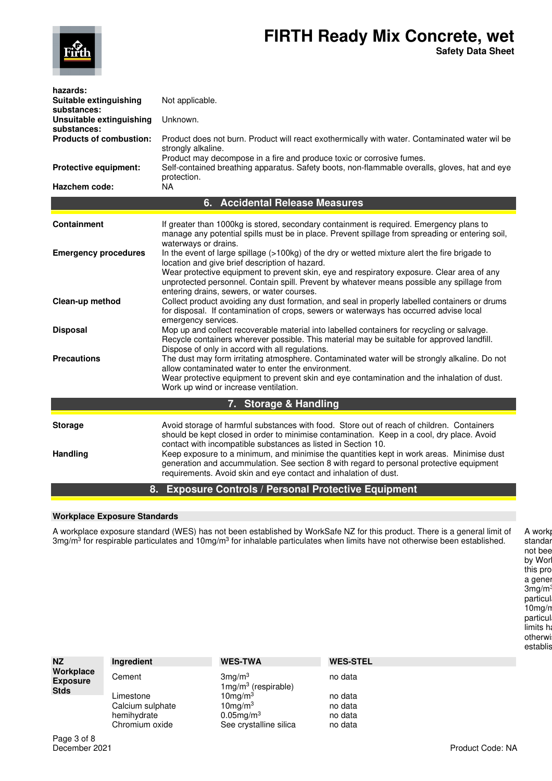

| hazards:<br>Suitable extinguishing<br>substances:<br>Unsuitable extinguishing<br>substances:<br><b>Products of combustion:</b><br><b>Protective equipment:</b> | Not applicable.<br>Unknown.<br>Product does not burn. Product will react exothermically with water. Contaminated water wil be<br>strongly alkaline.<br>Product may decompose in a fire and produce toxic or corrosive fumes.<br>Self-contained breathing apparatus. Safety boots, non-flammable overalls, gloves, hat and eye<br>protection.                                                                                                                                                                          |
|----------------------------------------------------------------------------------------------------------------------------------------------------------------|-----------------------------------------------------------------------------------------------------------------------------------------------------------------------------------------------------------------------------------------------------------------------------------------------------------------------------------------------------------------------------------------------------------------------------------------------------------------------------------------------------------------------|
| Hazchem code:                                                                                                                                                  | <b>NA</b>                                                                                                                                                                                                                                                                                                                                                                                                                                                                                                             |
|                                                                                                                                                                | 6. Accidental Release Measures                                                                                                                                                                                                                                                                                                                                                                                                                                                                                        |
| <b>Containment</b>                                                                                                                                             | If greater than 1000kg is stored, secondary containment is required. Emergency plans to<br>manage any potential spills must be in place. Prevent spillage from spreading or entering soil,<br>waterways or drains.                                                                                                                                                                                                                                                                                                    |
| <b>Emergency procedures</b>                                                                                                                                    | In the event of large spillage (>100kg) of the dry or wetted mixture alert the fire brigade to<br>location and give brief description of hazard.<br>Wear protective equipment to prevent skin, eye and respiratory exposure. Clear area of any<br>unprotected personnel. Contain spill. Prevent by whatever means possible any spillage from<br>entering drains, sewers, or water courses.                                                                                                                            |
| Clean-up method                                                                                                                                                | Collect product avoiding any dust formation, and seal in properly labelled containers or drums<br>for disposal. If contamination of crops, sewers or waterways has occurred advise local<br>emergency services.                                                                                                                                                                                                                                                                                                       |
| <b>Disposal</b>                                                                                                                                                | Mop up and collect recoverable material into labelled containers for recycling or salvage.<br>Recycle containers wherever possible. This material may be suitable for approved landfill.<br>Dispose of only in accord with all regulations.                                                                                                                                                                                                                                                                           |
| <b>Precautions</b>                                                                                                                                             | The dust may form irritating atmosphere. Contaminated water will be strongly alkaline. Do not<br>allow contaminated water to enter the environment.<br>Wear protective equipment to prevent skin and eye contamination and the inhalation of dust.<br>Work up wind or increase ventilation.                                                                                                                                                                                                                           |
|                                                                                                                                                                | 7. Storage & Handling                                                                                                                                                                                                                                                                                                                                                                                                                                                                                                 |
| <b>Storage</b><br>Handling                                                                                                                                     | Avoid storage of harmful substances with food. Store out of reach of children. Containers<br>should be kept closed in order to minimise contamination. Keep in a cool, dry place. Avoid<br>contact with incompatible substances as listed in Section 10.<br>Keep exposure to a minimum, and minimise the quantities kept in work areas. Minimise dust<br>generation and accummulation. See section 8 with regard to personal protective equipment<br>requirements. Avoid skin and eye contact and inhalation of dust. |
| 8.                                                                                                                                                             | <b>Exposure Controls / Personal Protective Equipment</b>                                                                                                                                                                                                                                                                                                                                                                                                                                                              |

## **Workplace Exposure Standards**

A workplace exposure standard (WES) has not been established by WorkSafe NZ for this product. There is a general limit of 3mg/m<sup>3</sup> for respirable particulates and 10mg/m<sup>3</sup> for inhalable particulates when limits have not otherwise been established.

A work standar not bee by Wor this pro a gener 3mg/m<sup>3</sup> particul 10mg/m particul limits ha otherwi establis

| <b>NZ</b>                    | Ingredient                                   | <b>WES-TWA</b>                                    | <b>WES-STEL</b>               |
|------------------------------|----------------------------------------------|---------------------------------------------------|-------------------------------|
| Workplace<br><b>Exposure</b> | Cement                                       | 3mg/m <sup>3</sup><br>$1mg/m3$ (respirable)       | no data                       |
| <b>Stds</b>                  | Limestone<br>Calcium sulphate<br>hemihydrate | $10$ mg/m $3$<br>$10$ mg/m $3$<br>$0.05$ mg/m $3$ | no data<br>no data<br>no data |
|                              | Chromium oxide                               | See crystalline silica                            | no data                       |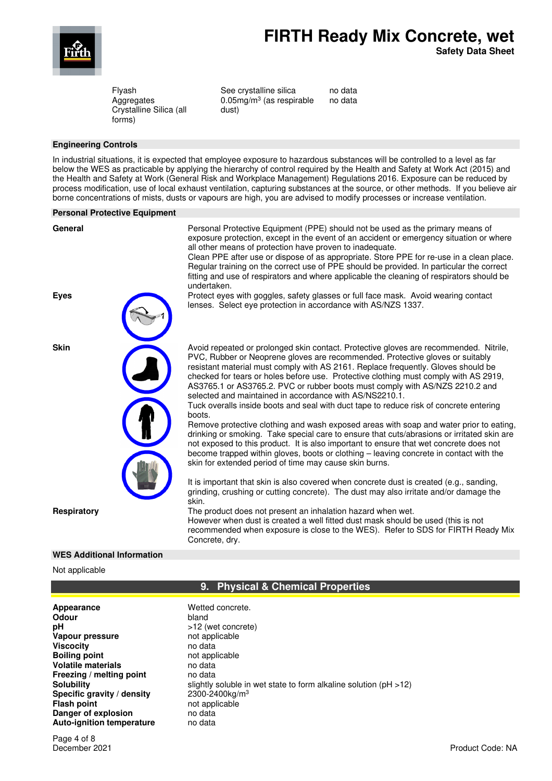

**Safety Data Sheet**

Flyash Aggregates Crystalline Silica (all forms)

See crystalline silica 0.05mg/m<sup>3</sup> (as respirable dust)

no data no data

### **Engineering Controls**

In industrial situations, it is expected that employee exposure to hazardous substances will be controlled to a level as far below the WES as practicable by applying the hierarchy of control required by the Health and Safety at Work Act (2015) and the Health and Safety at Work (General Risk and Workplace Management) Regulations 2016. Exposure can be reduced by process modification, use of local exhaust ventilation, capturing substances at the source, or other methods. If you believe air borne concentrations of mists, dusts or vapours are high, you are advised to modify processes or increase ventilation.

#### **Personal Protective Equipment**

General **Personal Protective Equipment (PPE)** should not be used as the primary means of exposure protection, except in the event of an accident or emergency situation or where all other means of protection have proven to inadequate.

> Clean PPE after use or dispose of as appropriate. Store PPE for re-use in a clean place. Regular training on the correct use of PPE should be provided. In particular the correct fitting and use of respirators and where applicable the cleaning of respirators should be undertaken.

**Eyes** Protect eyes with goggles, safety glasses or full face mask. Avoid wearing contact lenses. Select eye protection in accordance with AS/NZS 1337.

**Skin** Avoid repeated or prolonged skin contact. Protective gloves are recommended. Nitrile, PVC, Rubber or Neoprene gloves are recommended. Protective gloves or suitably resistant material must comply with AS 2161. Replace frequently. Gloves should be checked for tears or holes before use. Protective clothing must comply with AS 2919, AS3765.1 or AS3765.2. PVC or rubber boots must comply with AS/NZS 2210.2 and selected and maintained in accordance with AS/NS2210.1.

> Tuck overalls inside boots and seal with duct tape to reduce risk of concrete entering boots.

Remove protective clothing and wash exposed areas with soap and water prior to eating, drinking or smoking. Take special care to ensure that cuts/abrasions or irritated skin are not exposed to this product. It is also important to ensure that wet concrete does not become trapped within gloves, boots or clothing – leaving concrete in contact with the skin for extended period of time may cause skin burns.

It is important that skin is also covered when concrete dust is created (e.g., sanding, grinding, crushing or cutting concrete). The dust may also irritate and/or damage the skin.

**Respiratory** The product does not present an inhalation hazard when wet. However when dust is created a well fitted dust mask should be used (this is not recommended when exposure is close to the WES). Refer to SDS for FIRTH Ready Mix Concrete, dry.



### **WES Additional Information**

#### Not applicable

# **9. Physical & Chemical Properties**

Appearance **Manufacture Wetted concrete. Odour** bland **pH**  $>12$  (wet concrete) **Vapour pressure** not applicable<br> **Viscocity** no data **Viscocity Boiling point**<br> **Polatile materials**<br> **Polatile materials**<br> **Polating materials Volatile materials Freezing / melting point** no data<br> **Solubility** slightly slightly Specific gravity / density **Flash point** not applicable **Danger of explosion** no data **Auto-ignition temperature** no data

slightly soluble in wet state to form alkaline solution (pH >12) 2300-2400kg/m<sup>3</sup>

Page 4 of 8<br>December 2021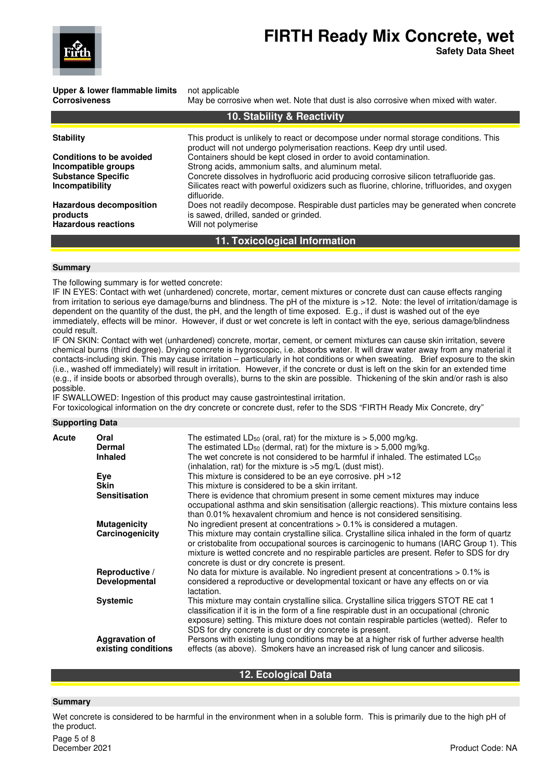

**Safety Data Sheet**

**Upper & lower flammable limits** not applicable

**Corrosiveness** May be corrosive when wet. Note that dust is also corrosive when mixed with water.

| 10. Stability & Reactivity      |                                                                                                                                              |  |
|---------------------------------|----------------------------------------------------------------------------------------------------------------------------------------------|--|
| <b>Stability</b>                | This product is unlikely to react or decompose under normal storage conditions. This                                                         |  |
| <b>Conditions to be avoided</b> | product will not undergo polymerisation reactions. Keep dry until used.<br>Containers should be kept closed in order to avoid contamination. |  |
| Incompatible groups             | Strong acids, ammonium salts, and aluminum metal.                                                                                            |  |
| <b>Substance Specific</b>       | Concrete dissolves in hydrofluoric acid producing corrosive silicon tetrafluoride gas.                                                       |  |
| Incompatibility                 | Silicates react with powerful oxidizers such as fluorine, chlorine, trifluorides, and oxygen<br>difluoride.                                  |  |
| <b>Hazardous decomposition</b>  | Does not readily decompose. Respirable dust particles may be generated when concrete                                                         |  |
| products                        | is sawed, drilled, sanded or grinded.                                                                                                        |  |
| <b>Hazardous reactions</b>      | Will not polymerise                                                                                                                          |  |
| 11. Toxicological Information   |                                                                                                                                              |  |

#### **Summary**

The following summary is for wetted concrete:

IF IN EYES: Contact with wet (unhardened) concrete, mortar, cement mixtures or concrete dust can cause effects ranging from irritation to serious eye damage/burns and blindness. The pH of the mixture is >12. Note: the level of irritation/damage is dependent on the quantity of the dust, the pH, and the length of time exposed. E.g., if dust is washed out of the eye immediately, effects will be minor. However, if dust or wet concrete is left in contact with the eye, serious damage/blindness could result.

IF ON SKIN: Contact with wet (unhardened) concrete, mortar, cement, or cement mixtures can cause skin irritation, severe chemical burns (third degree). Drying concrete is hygroscopic, i.e. absorbs water. It will draw water away from any material it contacts-including skin. This may cause irritation – particularly in hot conditions or when sweating. Brief exposure to the skin (i.e., washed off immediately) will result in irritation. However, if the concrete or dust is left on the skin for an extended time (e.g., if inside boots or absorbed through overalls), burns to the skin are possible. Thickening of the skin and/or rash is also possible.

IF SWALLOWED: Ingestion of this product may cause gastrointestinal irritation.

For toxicological information on the dry concrete or concrete dust, refer to the SDS "FIRTH Ready Mix Concrete, dry"

# **Supporting Data**

| Acute | Oral                                         | The estimated $LD_{50}$ (oral, rat) for the mixture is $> 5,000$ mg/kg.                                                                                                                                                                                                                                                                     |
|-------|----------------------------------------------|---------------------------------------------------------------------------------------------------------------------------------------------------------------------------------------------------------------------------------------------------------------------------------------------------------------------------------------------|
|       | <b>Dermal</b>                                | The estimated $LD_{50}$ (dermal, rat) for the mixture is $> 5,000$ mg/kg.                                                                                                                                                                                                                                                                   |
|       | <b>Inhaled</b>                               | The wet concrete is not considered to be harmful if inhaled. The estimated LC <sub>50</sub><br>(inhalation, rat) for the mixture is $>5$ mg/L (dust mist).                                                                                                                                                                                  |
|       | Eye                                          | This mixture is considered to be an eye corrosive. $pH > 12$                                                                                                                                                                                                                                                                                |
|       | <b>Skin</b>                                  | This mixture is considered to be a skin irritant.                                                                                                                                                                                                                                                                                           |
|       | <b>Sensitisation</b>                         | There is evidence that chromium present in some cement mixtures may induce<br>occupational asthma and skin sensitisation (allergic reactions). This mixture contains less<br>than 0.01% hexavalent chromium and hence is not considered sensitising.                                                                                        |
|       | <b>Mutagenicity</b>                          | No ingredient present at concentrations > 0.1% is considered a mutagen.                                                                                                                                                                                                                                                                     |
|       | Carcinogenicity                              | This mixture may contain crystalline silica. Crystalline silica inhaled in the form of quartz<br>or cristobalite from occupational sources is carcinogenic to humans (IARC Group 1). This<br>mixture is wetted concrete and no respirable particles are present. Refer to SDS for dry<br>concrete is dust or dry concrete is present.       |
|       | Reproductive /<br><b>Developmental</b>       | No data for mixture is available. No ingredient present at concentrations $> 0.1\%$ is<br>considered a reproductive or developmental toxicant or have any effects on or via<br>lactation.                                                                                                                                                   |
|       | <b>Systemic</b>                              | This mixture may contain crystalline silica. Crystalline silica triggers STOT RE cat 1<br>classification if it is in the form of a fine respirable dust in an occupational (chronic<br>exposure) setting. This mixture does not contain respirable particles (wetted). Refer to<br>SDS for dry concrete is dust or dry concrete is present. |
|       | <b>Aggravation of</b><br>existing conditions | Persons with existing lung conditions may be at a higher risk of further adverse health<br>effects (as above). Smokers have an increased risk of lung cancer and silicosis.                                                                                                                                                                 |

# **12. Ecological Data**

### **Summary**

Wet concrete is considered to be harmful in the environment when in a soluble form. This is primarily due to the high pH of the product.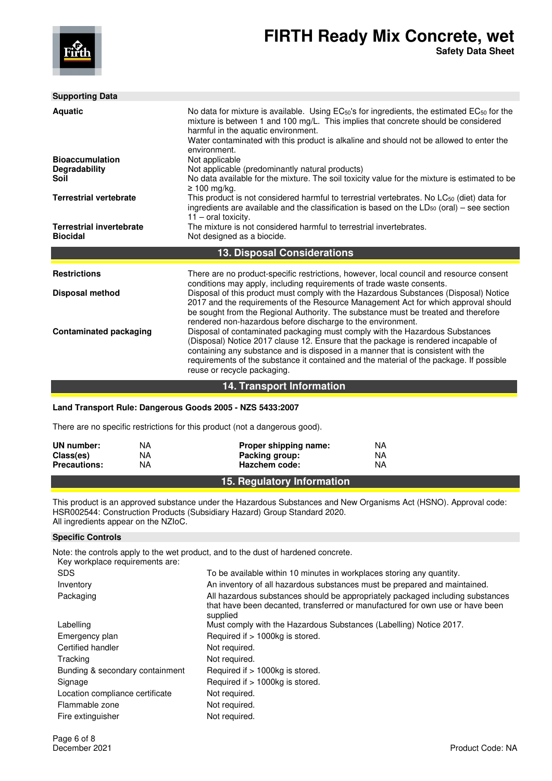

| <b>Supporting Data</b>                             |                                                                                                                                                                                                                                                                                                                                                                                  |
|----------------------------------------------------|----------------------------------------------------------------------------------------------------------------------------------------------------------------------------------------------------------------------------------------------------------------------------------------------------------------------------------------------------------------------------------|
| <b>Aquatic</b>                                     | No data for mixture is available. Using EC <sub>50</sub> 's for ingredients, the estimated EC <sub>50</sub> for the<br>mixture is between 1 and 100 mg/L. This implies that concrete should be considered<br>harmful in the aquatic environment.<br>Water contaminated with this product is alkaline and should not be allowed to enter the<br>environment.                      |
| <b>Bioaccumulation</b>                             | Not applicable                                                                                                                                                                                                                                                                                                                                                                   |
| Degradability<br>Soil                              | Not applicable (predominantly natural products)<br>No data available for the mixture. The soil toxicity value for the mixture is estimated to be<br>$\geq 100$ mg/kg.                                                                                                                                                                                                            |
| <b>Terrestrial vertebrate</b>                      | This product is not considered harmful to terrestrial vertebrates. No LC <sub>50</sub> (diet) data for<br>ingredients are available and the classification is based on the $LD_{50}$ (oral) – see section<br>$11$ – oral toxicity.                                                                                                                                               |
| <b>Terrestrial invertebrate</b><br><b>Biocidal</b> | The mixture is not considered harmful to terrestrial invertebrates.<br>Not designed as a biocide.                                                                                                                                                                                                                                                                                |
|                                                    | <b>13. Disposal Considerations</b>                                                                                                                                                                                                                                                                                                                                               |
| <b>Restrictions</b>                                | There are no product-specific restrictions, however, local council and resource consent<br>conditions may apply, including requirements of trade waste consents.                                                                                                                                                                                                                 |
| <b>Disposal method</b>                             | Disposal of this product must comply with the Hazardous Substances (Disposal) Notice<br>2017 and the requirements of the Resource Management Act for which approval should<br>be sought from the Regional Authority. The substance must be treated and therefore<br>rendered non-hazardous before discharge to the environment.                                                  |
| <b>Contaminated packaging</b>                      | Disposal of contaminated packaging must comply with the Hazardous Substances<br>(Disposal) Notice 2017 clause 12. Ensure that the package is rendered incapable of<br>containing any substance and is disposed in a manner that is consistent with the<br>requirements of the substance it contained and the material of the package. If possible<br>reuse or recycle packaging. |

# **14. Transport Information**

## **Land Transport Rule: Dangerous Goods 2005 - NZS 5433:2007**

There are no specific restrictions for this product (not a dangerous good).

| UN number:          | NA | Proper shipping name:      | NA |
|---------------------|----|----------------------------|----|
| Class(es)           | NA | Packing group:             | ΝA |
| <b>Precautions:</b> | ΝA | Hazchem code:              | ΝA |
|                     |    | 15. Regulatory Information |    |

This product is an approved substance under the Hazardous Substances and New Organisms Act (HSNO). Approval code: HSR002544: Construction Products (Subsidiary Hazard) Group Standard 2020. All ingredients appear on the NZIoC.

# **Specific Controls**

Note: the controls apply to the wet product, and to the dust of hardened concrete. Key workplace requirements are:

| <u>Rev workplace requirements are.</u> |                                                                                                                                                                             |
|----------------------------------------|-----------------------------------------------------------------------------------------------------------------------------------------------------------------------------|
| <b>SDS</b>                             | To be available within 10 minutes in workplaces storing any quantity.                                                                                                       |
| Inventory                              | An inventory of all hazardous substances must be prepared and maintained.                                                                                                   |
| Packaging                              | All hazardous substances should be appropriately packaged including substances<br>that have been decanted, transferred or manufactured for own use or have been<br>supplied |
| Labelling                              | Must comply with the Hazardous Substances (Labelling) Notice 2017.                                                                                                          |
| Emergency plan                         | Required if > 1000kg is stored.                                                                                                                                             |
| Certified handler                      | Not required.                                                                                                                                                               |
| Tracking                               | Not required.                                                                                                                                                               |
| Bunding & secondary containment        | Required if > 1000kg is stored.                                                                                                                                             |
| Signage                                | Required if > 1000kg is stored.                                                                                                                                             |
| Location compliance certificate        | Not required.                                                                                                                                                               |
| Flammable zone                         | Not required.                                                                                                                                                               |
| Fire extinguisher                      | Not required.                                                                                                                                                               |
|                                        |                                                                                                                                                                             |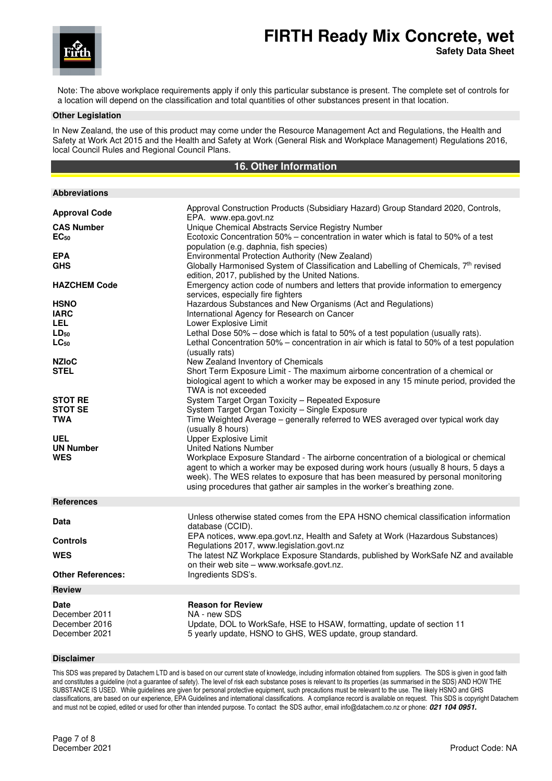

**Safety Data Sheet**

Note: The above workplace requirements apply if only this particular substance is present. The complete set of controls for a location will depend on the classification and total quantities of other substances present in that location.

#### **Other Legislation**

In New Zealand, the use of this product may come under the Resource Management Act and Regulations, the Health and Safety at Work Act 2015 and the Health and Safety at Work (General Risk and Workplace Management) Regulations 2016, local Council Rules and Regional Council Plans.

# **16. Other Information**

| <b>Abbreviations</b>                                                                                                                                                                            |                                                                                                                                                                                                                                                                                                                                                                                                                                                                                                                                                                                                                                                                                                                                                                                                                                                                                                                                                                                                                |
|-------------------------------------------------------------------------------------------------------------------------------------------------------------------------------------------------|----------------------------------------------------------------------------------------------------------------------------------------------------------------------------------------------------------------------------------------------------------------------------------------------------------------------------------------------------------------------------------------------------------------------------------------------------------------------------------------------------------------------------------------------------------------------------------------------------------------------------------------------------------------------------------------------------------------------------------------------------------------------------------------------------------------------------------------------------------------------------------------------------------------------------------------------------------------------------------------------------------------|
| <b>Approval Code</b><br><b>CAS Number</b><br>EC <sub>50</sub><br><b>EPA</b><br><b>GHS</b><br><b>HAZCHEM Code</b><br><b>HSNO</b><br><b>IARC</b><br>LEL<br>$LD_{50}$<br>$LC_{50}$<br><b>NZIoC</b> | Approval Construction Products (Subsidiary Hazard) Group Standard 2020, Controls,<br>EPA. www.epa.govt.nz<br>Unique Chemical Abstracts Service Registry Number<br>Ecotoxic Concentration 50% - concentration in water which is fatal to 50% of a test<br>population (e.g. daphnia, fish species)<br>Environmental Protection Authority (New Zealand)<br>Globally Harmonised System of Classification and Labelling of Chemicals, 7th revised<br>edition, 2017, published by the United Nations.<br>Emergency action code of numbers and letters that provide information to emergency<br>services, especially fire fighters<br>Hazardous Substances and New Organisms (Act and Regulations)<br>International Agency for Research on Cancer<br>Lower Explosive Limit<br>Lethal Dose 50% - dose which is fatal to 50% of a test population (usually rats).<br>Lethal Concentration 50% – concentration in air which is fatal to 50% of a test population<br>(usually rats)<br>New Zealand Inventory of Chemicals |
| <b>STEL</b>                                                                                                                                                                                     | Short Term Exposure Limit - The maximum airborne concentration of a chemical or<br>biological agent to which a worker may be exposed in any 15 minute period, provided the<br>TWA is not exceeded                                                                                                                                                                                                                                                                                                                                                                                                                                                                                                                                                                                                                                                                                                                                                                                                              |
| <b>STOT RE</b><br><b>STOT SE</b><br><b>TWA</b><br><b>UEL</b><br><b>UN Number</b><br><b>WES</b>                                                                                                  | System Target Organ Toxicity - Repeated Exposure<br>System Target Organ Toxicity - Single Exposure<br>Time Weighted Average - generally referred to WES averaged over typical work day<br>(usually 8 hours)<br><b>Upper Explosive Limit</b><br><b>United Nations Number</b><br>Workplace Exposure Standard - The airborne concentration of a biological or chemical<br>agent to which a worker may be exposed during work hours (usually 8 hours, 5 days a<br>week). The WES relates to exposure that has been measured by personal monitoring<br>using procedures that gather air samples in the worker's breathing zone.                                                                                                                                                                                                                                                                                                                                                                                     |
| <b>References</b>                                                                                                                                                                               |                                                                                                                                                                                                                                                                                                                                                                                                                                                                                                                                                                                                                                                                                                                                                                                                                                                                                                                                                                                                                |
| Data<br><b>Controls</b><br><b>WES</b><br><b>Other References:</b>                                                                                                                               | Unless otherwise stated comes from the EPA HSNO chemical classification information<br>database (CCID).<br>EPA notices, www.epa.govt.nz, Health and Safety at Work (Hazardous Substances)<br>Regulations 2017, www.legislation.govt.nz<br>The latest NZ Workplace Exposure Standards, published by WorkSafe NZ and available<br>on their web site - www.worksafe.govt.nz.<br>Ingredients SDS's.                                                                                                                                                                                                                                                                                                                                                                                                                                                                                                                                                                                                                |
|                                                                                                                                                                                                 |                                                                                                                                                                                                                                                                                                                                                                                                                                                                                                                                                                                                                                                                                                                                                                                                                                                                                                                                                                                                                |
| <b>Review</b>                                                                                                                                                                                   |                                                                                                                                                                                                                                                                                                                                                                                                                                                                                                                                                                                                                                                                                                                                                                                                                                                                                                                                                                                                                |
| <b>Date</b><br>December 2011<br>December 2016<br>December 2021                                                                                                                                  | <b>Reason for Review</b><br>NA - new SDS<br>Update, DOL to WorkSafe, HSE to HSAW, formatting, update of section 11<br>5 yearly update, HSNO to GHS, WES update, group standard.                                                                                                                                                                                                                                                                                                                                                                                                                                                                                                                                                                                                                                                                                                                                                                                                                                |

#### **Disclaimer**

This SDS was prepared by Datachem LTD and is based on our current state of knowledge, including information obtained from suppliers. The SDS is given in good faith and constitutes a guideline (not a guarantee of safety). The level of risk each substance poses is relevant to its properties (as summarised in the SDS) AND HOW THE SUBSTANCE IS USED. While guidelines are given for personal protective equipment, such precautions must be relevant to the use. The likely HSNO and GHS classifications, are based on our experience, EPA Guidelines and international classifications. A compliance record is available on request. This SDS is copyright Datachem and must not be copied, edited or used for other than intended purpose. To contact the SDS author, email info@datachem.co.nz or phone: **021 104 0951.**